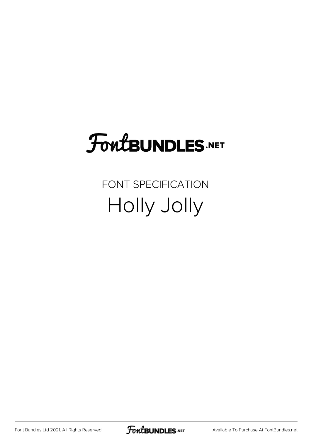### **FoutBUNDLES.NET**

FONT SPECIFICATION Holly Jolly

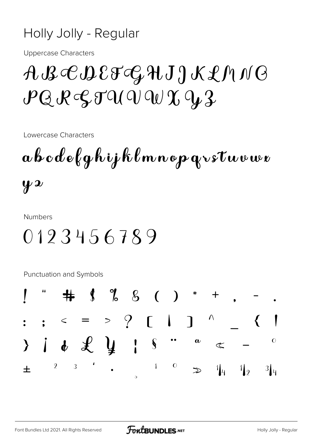#### Holly Jolly - Regular

**Uppercase Characters** 

#### ABCDEFCHJJKLMNG  $PQR$  $QTQQQQQQQQ$

Lowercase Characters

 $a \, b \, c \, d \, e \, \ell \, q \, h \, i \, j \, k \, \ell \, m \, n \, o \, p \, q \, v \, s \, t \, w \, v \, w \, v$  $y \overline{z}$ 

**Numbers** 

#### 0123456789

**Punctuation and Symbols** 

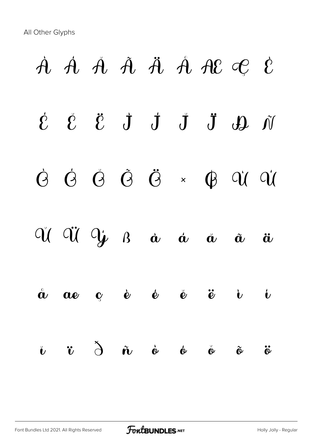# $\dot{A}$   $\dot{A}$   $\ddot{A}$   $\ddot{A}$   $\dot{A}$   $\dot{A}$   $\dot{B}$   $\dot{C}$   $\dot{C}$  $\dot{\mathcal{E}}$   $\ddot{\mathcal{E}}$   $\dot{\mathcal{J}}$   $\dot{\mathcal{J}}$   $\ddot{\mathcal{J}}$   $\ddot{\mathcal{Y}}$   $\ddot{\mathcal{N}}$ Ò Ó Ô Õ Ö × Ø Ù Ú  $\alpha$   $\alpha$   $\alpha$   $\alpha$   $\alpha$   $\alpha$   $\alpha$   $\alpha$  $\stackrel{\circ}{\alpha}$   $\alpha$   $\stackrel{\circ}{c}$   $\stackrel{\circ}{e}$   $\stackrel{\circ}{e}$   $\stackrel{\circ}{e}$   $\stackrel{\circ}{v}$   $\stackrel{\circ}{v}$  $\mathbf{\tilde{v}}$   $\mathbf{\tilde{v}}$   $\mathbf{\tilde{v}}$   $\mathbf{\tilde{w}}$   $\mathbf{\tilde{w}}$   $\mathbf{\tilde{w}}$   $\mathbf{\tilde{w}}$   $\mathbf{\tilde{w}}$   $\mathbf{\tilde{w}}$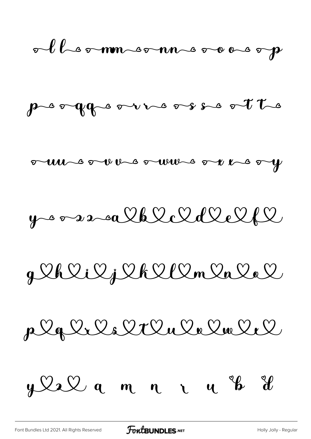olleommeonnements



unsorthesownsorthesy

 $y$  or  $z$  and  $x$   $x$   $x$   $y$   $y$   $y$ 

g lelilj lellon la la l

plglils lilulelmlel

y le le q m n n n y b il